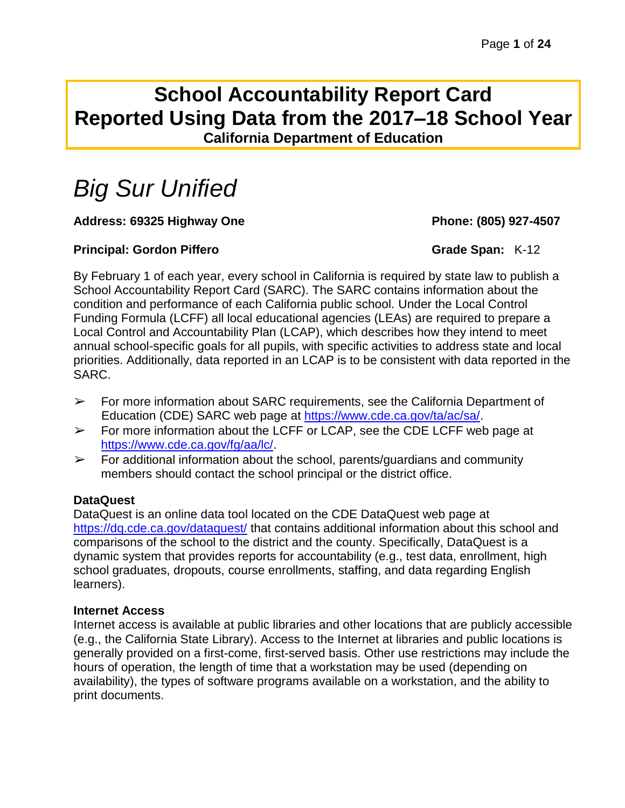# **School Accountability Report Card Reported Using Data from the 2017–18 School Year California Department of Education**

# *Big Sur Unified*

# **Address: 69325 Highway One Phone: (805) 927-4507**

### **Principal: Gordon Piffero Grade Span:** K-12

By February 1 of each year, every school in California is required by state law to publish a School Accountability Report Card (SARC). The SARC contains information about the condition and performance of each California public school. Under the Local Control Funding Formula (LCFF) all local educational agencies (LEAs) are required to prepare a Local Control and Accountability Plan (LCAP), which describes how they intend to meet annual school-specific goals for all pupils, with specific activities to address state and local priorities. Additionally, data reported in an LCAP is to be consistent with data reported in the SARC.

- $\triangleright$  For more information about SARC requirements, see the California Department of Education (CDE) SARC web page at [https://www.cde.ca.gov/ta/ac/sa/.](https://www.cde.ca.gov/ta/ac/sa/)
- $\triangleright$  For more information about the LCFF or LCAP, see the CDE LCFF web page at [https://www.cde.ca.gov/fg/aa/lc/.](https://www.cde.ca.gov/fg/aa/lc/)
- $\triangleright$  For additional information about the school, parents/guardians and community members should contact the school principal or the district office.

### **DataQuest**

DataQuest is an online data tool located on the CDE DataQuest web page at <https://dq.cde.ca.gov/dataquest/> that contains additional information about this school and comparisons of the school to the district and the county. Specifically, DataQuest is a dynamic system that provides reports for accountability (e.g., test data, enrollment, high school graduates, dropouts, course enrollments, staffing, and data regarding English learners).

### **Internet Access**

Internet access is available at public libraries and other locations that are publicly accessible (e.g., the California State Library). Access to the Internet at libraries and public locations is generally provided on a first-come, first-served basis. Other use restrictions may include the hours of operation, the length of time that a workstation may be used (depending on availability), the types of software programs available on a workstation, and the ability to print documents.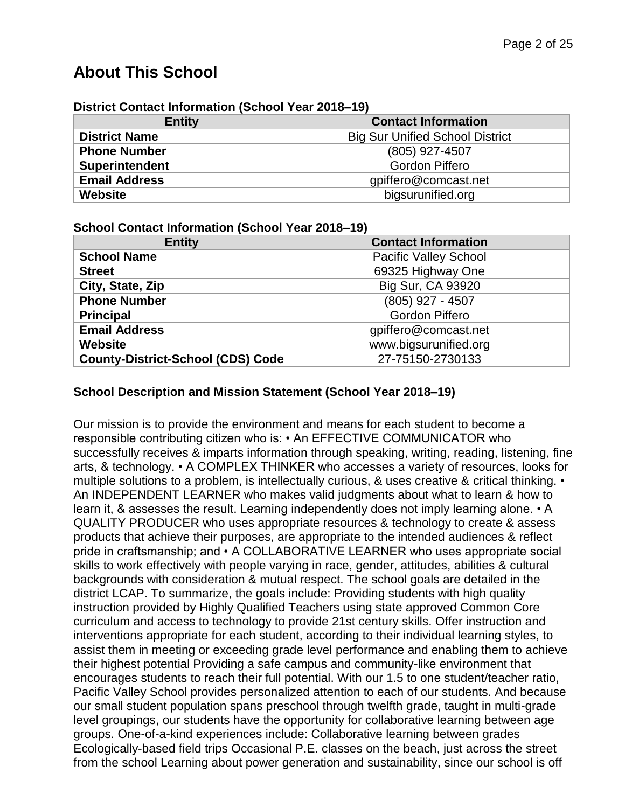# **About This School**

| District Contact Information (School Year 2018–19) |                                        |  |  |  |
|----------------------------------------------------|----------------------------------------|--|--|--|
| <b>Entity</b>                                      | <b>Contact Information</b>             |  |  |  |
| <b>District Name</b>                               | <b>Big Sur Unified School District</b> |  |  |  |
| <b>Phone Number</b>                                | (805) 927-4507                         |  |  |  |
| <b>Superintendent</b>                              | <b>Gordon Piffero</b>                  |  |  |  |

**Email Address** gpiffero@comcast.net **Website** bigsurunified.org

#### **District Contact Information (School Year 2018–19)**

#### **School Contact Information (School Year 2018–19)**

| <b>Entity</b>                            | <b>Contact Information</b>   |
|------------------------------------------|------------------------------|
| <b>School Name</b>                       | <b>Pacific Valley School</b> |
| <b>Street</b>                            | 69325 Highway One            |
| City, State, Zip                         | Big Sur, CA 93920            |
| <b>Phone Number</b>                      | (805) 927 - 4507             |
| <b>Principal</b>                         | <b>Gordon Piffero</b>        |
| <b>Email Address</b>                     | gpiffero@comcast.net         |
| <b>Website</b>                           | www.bigsurunified.org        |
| <b>County-District-School (CDS) Code</b> | 27-75150-2730133             |

#### **School Description and Mission Statement (School Year 2018–19)**

Our mission is to provide the environment and means for each student to become a responsible contributing citizen who is: • An EFFECTIVE COMMUNICATOR who successfully receives & imparts information through speaking, writing, reading, listening, fine arts, & technology. • A COMPLEX THINKER who accesses a variety of resources, looks for multiple solutions to a problem, is intellectually curious, & uses creative & critical thinking. • An INDEPENDENT LEARNER who makes valid judgments about what to learn & how to learn it, & assesses the result. Learning independently does not imply learning alone. • A QUALITY PRODUCER who uses appropriate resources & technology to create & assess products that achieve their purposes, are appropriate to the intended audiences & reflect pride in craftsmanship; and • A COLLABORATIVE LEARNER who uses appropriate social skills to work effectively with people varying in race, gender, attitudes, abilities & cultural backgrounds with consideration & mutual respect. The school goals are detailed in the district LCAP. To summarize, the goals include: Providing students with high quality instruction provided by Highly Qualified Teachers using state approved Common Core curriculum and access to technology to provide 21st century skills. Offer instruction and interventions appropriate for each student, according to their individual learning styles, to assist them in meeting or exceeding grade level performance and enabling them to achieve their highest potential Providing a safe campus and community-like environment that encourages students to reach their full potential. With our 1.5 to one student/teacher ratio, Pacific Valley School provides personalized attention to each of our students. And because our small student population spans preschool through twelfth grade, taught in multi-grade level groupings, our students have the opportunity for collaborative learning between age groups. One-of-a-kind experiences include: Collaborative learning between grades Ecologically-based field trips Occasional P.E. classes on the beach, just across the street from the school Learning about power generation and sustainability, since our school is off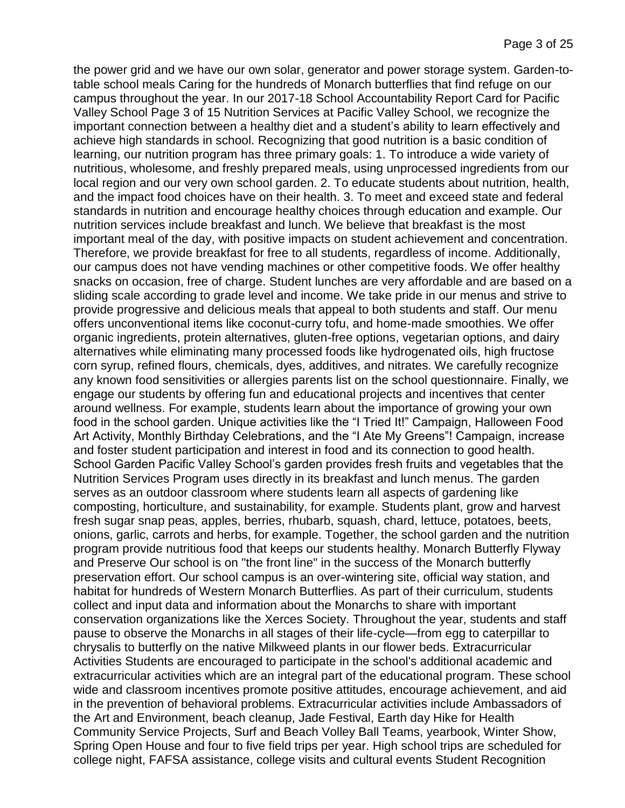the power grid and we have our own solar, generator and power storage system. Garden-totable school meals Caring for the hundreds of Monarch butterflies that find refuge on our campus throughout the year. In our 2017-18 School Accountability Report Card for Pacific Valley School Page 3 of 15 Nutrition Services at Pacific Valley School, we recognize the important connection between a healthy diet and a student's ability to learn effectively and achieve high standards in school. Recognizing that good nutrition is a basic condition of learning, our nutrition program has three primary goals: 1. To introduce a wide variety of nutritious, wholesome, and freshly prepared meals, using unprocessed ingredients from our local region and our very own school garden. 2. To educate students about nutrition, health, and the impact food choices have on their health. 3. To meet and exceed state and federal standards in nutrition and encourage healthy choices through education and example. Our nutrition services include breakfast and lunch. We believe that breakfast is the most important meal of the day, with positive impacts on student achievement and concentration. Therefore, we provide breakfast for free to all students, regardless of income. Additionally, our campus does not have vending machines or other competitive foods. We offer healthy snacks on occasion, free of charge. Student lunches are very affordable and are based on a sliding scale according to grade level and income. We take pride in our menus and strive to provide progressive and delicious meals that appeal to both students and staff. Our menu offers unconventional items like coconut-curry tofu, and home-made smoothies. We offer organic ingredients, protein alternatives, gluten-free options, vegetarian options, and dairy alternatives while eliminating many processed foods like hydrogenated oils, high fructose corn syrup, refined flours, chemicals, dyes, additives, and nitrates. We carefully recognize any known food sensitivities or allergies parents list on the school questionnaire. Finally, we engage our students by offering fun and educational projects and incentives that center around wellness. For example, students learn about the importance of growing your own food in the school garden. Unique activities like the "I Tried It!" Campaign, Halloween Food Art Activity, Monthly Birthday Celebrations, and the "I Ate My Greens"! Campaign, increase and foster student participation and interest in food and its connection to good health. School Garden Pacific Valley School's garden provides fresh fruits and vegetables that the Nutrition Services Program uses directly in its breakfast and lunch menus. The garden serves as an outdoor classroom where students learn all aspects of gardening like composting, horticulture, and sustainability, for example. Students plant, grow and harvest fresh sugar snap peas, apples, berries, rhubarb, squash, chard, lettuce, potatoes, beets, onions, garlic, carrots and herbs, for example. Together, the school garden and the nutrition program provide nutritious food that keeps our students healthy. Monarch Butterfly Flyway and Preserve Our school is on "the front line" in the success of the Monarch butterfly preservation effort. Our school campus is an over-wintering site, official way station, and habitat for hundreds of Western Monarch Butterflies. As part of their curriculum, students collect and input data and information about the Monarchs to share with important conservation organizations like the Xerces Society. Throughout the year, students and staff pause to observe the Monarchs in all stages of their life-cycle—from egg to caterpillar to chrysalis to butterfly on the native Milkweed plants in our flower beds. Extracurricular Activities Students are encouraged to participate in the school's additional academic and extracurricular activities which are an integral part of the educational program. These school wide and classroom incentives promote positive attitudes, encourage achievement, and aid in the prevention of behavioral problems. Extracurricular activities include Ambassadors of the Art and Environment, beach cleanup, Jade Festival, Earth day Hike for Health Community Service Projects, Surf and Beach Volley Ball Teams, yearbook, Winter Show, Spring Open House and four to five field trips per year. High school trips are scheduled for college night, FAFSA assistance, college visits and cultural events Student Recognition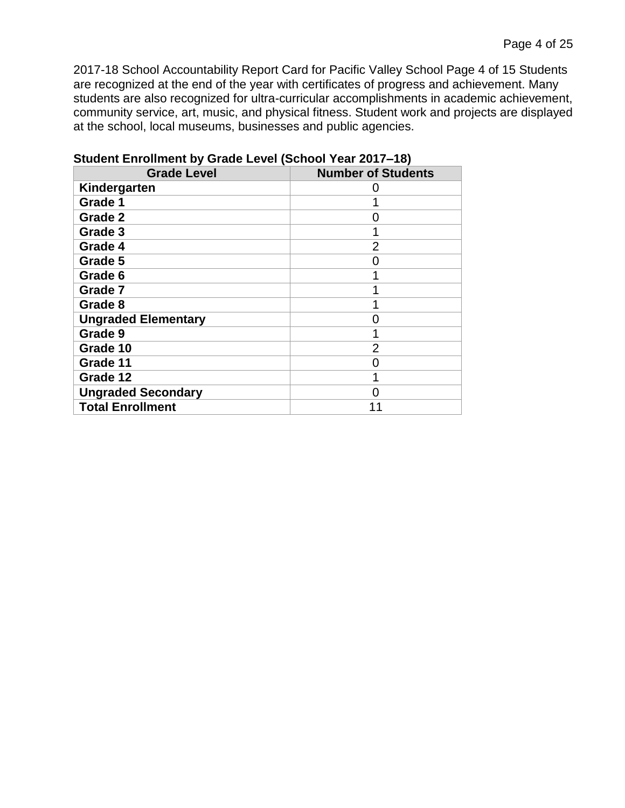2017-18 School Accountability Report Card for Pacific Valley School Page 4 of 15 Students are recognized at the end of the year with certificates of progress and achievement. Many students are also recognized for ultra-curricular accomplishments in academic achievement, community service, art, music, and physical fitness. Student work and projects are displayed at the school, local museums, businesses and public agencies.

| <b>Grade Level</b>         | <b>Number of Students</b> |
|----------------------------|---------------------------|
| Kindergarten               |                           |
| Grade 1                    |                           |
| Grade 2                    | O                         |
| Grade 3                    |                           |
| Grade 4                    | $\overline{2}$            |
| Grade 5                    |                           |
| Grade 6                    |                           |
| Grade 7                    |                           |
| Grade 8                    |                           |
| <b>Ungraded Elementary</b> |                           |
| Grade 9                    |                           |
| Grade 10                   | 2                         |
| Grade 11                   |                           |
| Grade 12                   |                           |
| <b>Ungraded Secondary</b>  |                           |
| <b>Total Enrollment</b>    |                           |

**Student Enrollment by Grade Level (School Year 2017–18)**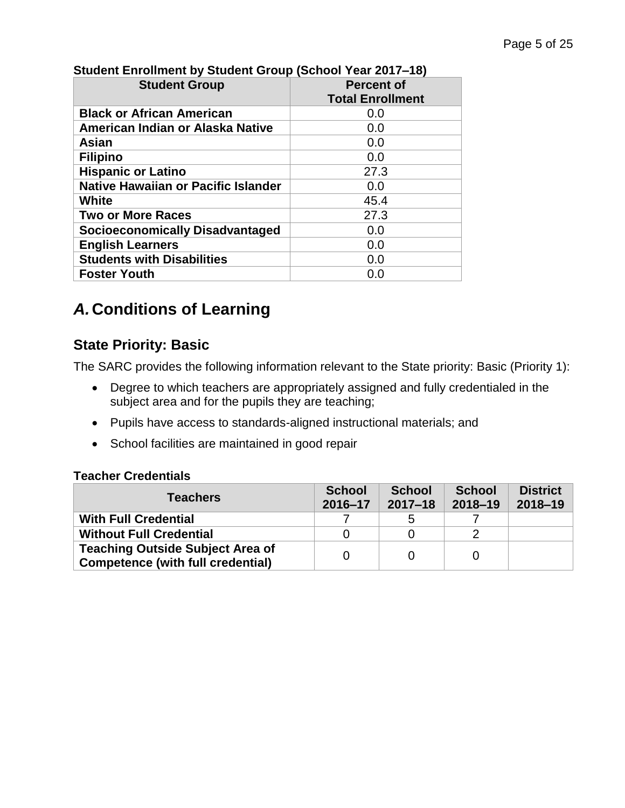| <b>Student Group</b>                       | <b>Percent of</b>       |  |  |
|--------------------------------------------|-------------------------|--|--|
|                                            | <b>Total Enrollment</b> |  |  |
| <b>Black or African American</b>           | 0.0                     |  |  |
| American Indian or Alaska Native           | 0.0                     |  |  |
| Asian                                      | 0.0                     |  |  |
| <b>Filipino</b>                            | 0.0                     |  |  |
| <b>Hispanic or Latino</b>                  | 27.3                    |  |  |
| <b>Native Hawaiian or Pacific Islander</b> | 0.0                     |  |  |
| White                                      | 45.4                    |  |  |
| <b>Two or More Races</b>                   | 27.3                    |  |  |
| <b>Socioeconomically Disadvantaged</b>     | 0.0                     |  |  |
| <b>English Learners</b>                    | 0.0                     |  |  |
| <b>Students with Disabilities</b>          | 0.0                     |  |  |
| <b>Foster Youth</b>                        | 0.0                     |  |  |

# **Student Enrollment by Student Group (School Year 2017–18)**

# *A.***Conditions of Learning**

# **State Priority: Basic**

The SARC provides the following information relevant to the State priority: Basic (Priority 1):

- Degree to which teachers are appropriately assigned and fully credentialed in the subject area and for the pupils they are teaching;
- Pupils have access to standards-aligned instructional materials; and
- School facilities are maintained in good repair

#### **Teacher Credentials**

| <b>Teachers</b>                                                                     | <b>School</b><br>$2016 - 17$ | <b>School</b><br>$2017 - 18$ | <b>School</b><br>$2018 - 19$ | <b>District</b><br>$2018 - 19$ |
|-------------------------------------------------------------------------------------|------------------------------|------------------------------|------------------------------|--------------------------------|
| <b>With Full Credential</b>                                                         |                              | ხ                            |                              |                                |
| <b>Without Full Credential</b>                                                      |                              |                              |                              |                                |
| <b>Teaching Outside Subject Area of</b><br><b>Competence (with full credential)</b> |                              |                              |                              |                                |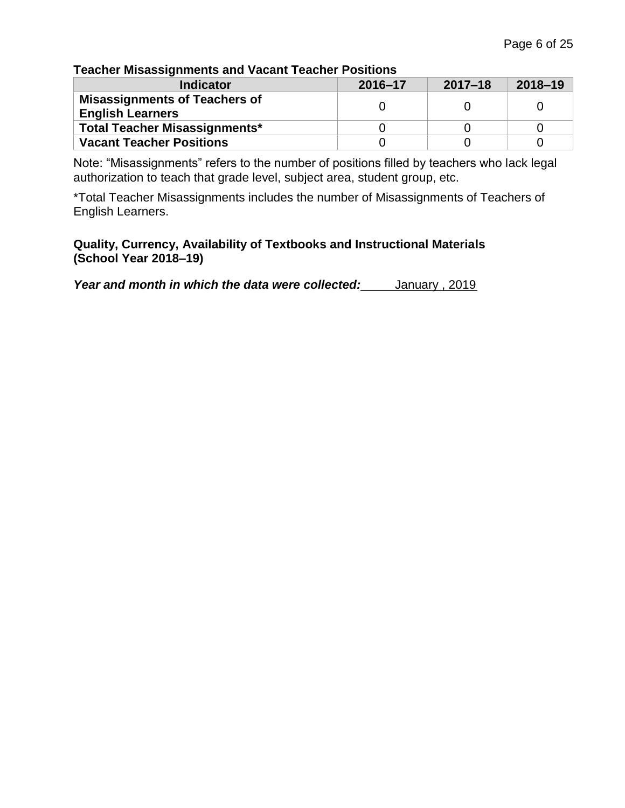### **Teacher Misassignments and Vacant Teacher Positions**

| <b>Indicator</b>                                                | 2016-17 | $2017 - 18$ | $2018 - 19$ |
|-----------------------------------------------------------------|---------|-------------|-------------|
| <b>Misassignments of Teachers of</b><br><b>English Learners</b> |         |             |             |
| <b>Total Teacher Misassignments*</b>                            |         |             |             |
| <b>Vacant Teacher Positions</b>                                 |         |             |             |

Note: "Misassignments" refers to the number of positions filled by teachers who lack legal authorization to teach that grade level, subject area, student group, etc.

\*Total Teacher Misassignments includes the number of Misassignments of Teachers of English Learners.

#### **Quality, Currency, Availability of Textbooks and Instructional Materials (School Year 2018–19)**

Year and month in which the data were collected: January, 2019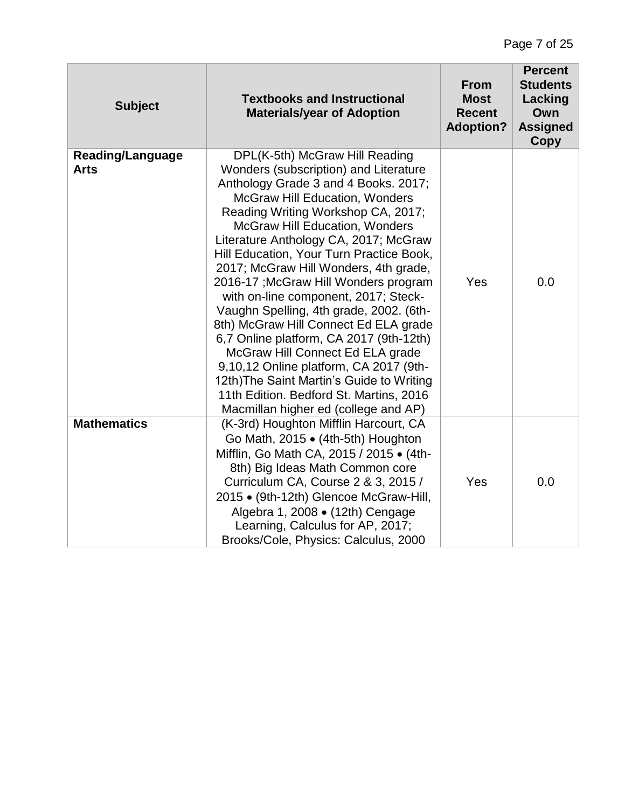| <b>Subject</b>                         | <b>Textbooks and Instructional</b><br><b>Materials/year of Adoption</b>                                                                                                                                                                                                                                                                                                                                                                                                                                                                                                                                                                                                                                                                                                                             | <b>From</b><br><b>Most</b><br><b>Recent</b><br><b>Adoption?</b> | <b>Percent</b><br><b>Students</b><br>Lacking<br>Own<br><b>Assigned</b><br>Copy |
|----------------------------------------|-----------------------------------------------------------------------------------------------------------------------------------------------------------------------------------------------------------------------------------------------------------------------------------------------------------------------------------------------------------------------------------------------------------------------------------------------------------------------------------------------------------------------------------------------------------------------------------------------------------------------------------------------------------------------------------------------------------------------------------------------------------------------------------------------------|-----------------------------------------------------------------|--------------------------------------------------------------------------------|
| <b>Reading/Language</b><br><b>Arts</b> | DPL(K-5th) McGraw Hill Reading<br>Wonders (subscription) and Literature<br>Anthology Grade 3 and 4 Books. 2017;<br><b>McGraw Hill Education, Wonders</b><br>Reading Writing Workshop CA, 2017;<br><b>McGraw Hill Education, Wonders</b><br>Literature Anthology CA, 2017; McGraw<br>Hill Education, Your Turn Practice Book,<br>2017; McGraw Hill Wonders, 4th grade,<br>2016-17 ; McGraw Hill Wonders program<br>with on-line component, 2017; Steck-<br>Vaughn Spelling, 4th grade, 2002. (6th-<br>8th) McGraw Hill Connect Ed ELA grade<br>6,7 Online platform, CA 2017 (9th-12th)<br>McGraw Hill Connect Ed ELA grade<br>9,10,12 Online platform, CA 2017 (9th-<br>12th) The Saint Martin's Guide to Writing<br>11th Edition. Bedford St. Martins, 2016<br>Macmillan higher ed (college and AP) | Yes                                                             | 0.0                                                                            |
| <b>Mathematics</b>                     | (K-3rd) Houghton Mifflin Harcourt, CA<br>Go Math, 2015 • (4th-5th) Houghton<br>Mifflin, Go Math CA, 2015 / 2015 • (4th-<br>8th) Big Ideas Math Common core<br>Curriculum CA, Course 2 & 3, 2015 /<br>2015 • (9th-12th) Glencoe McGraw-Hill,<br>Algebra 1, 2008 · (12th) Cengage<br>Learning, Calculus for AP, 2017;<br>Brooks/Cole, Physics: Calculus, 2000                                                                                                                                                                                                                                                                                                                                                                                                                                         | Yes                                                             | 0.0                                                                            |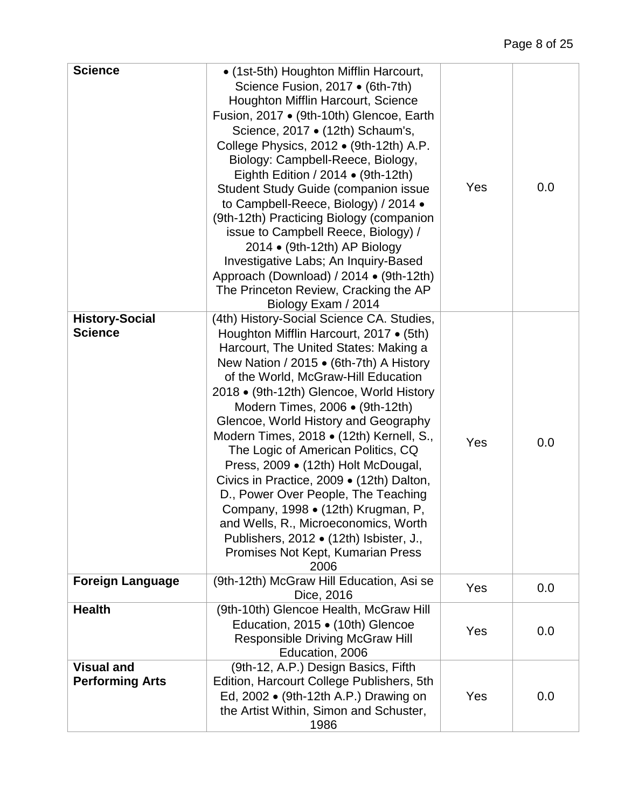| <b>Science</b>                              | • (1st-5th) Houghton Mifflin Harcourt,<br>Science Fusion, 2017 • (6th-7th)<br>Houghton Mifflin Harcourt, Science<br>Fusion, 2017 • (9th-10th) Glencoe, Earth<br>Science, 2017 • (12th) Schaum's,<br>College Physics, 2012 • (9th-12th) A.P.<br>Biology: Campbell-Reece, Biology,<br>Eighth Edition / 2014 $\bullet$ (9th-12th)<br><b>Student Study Guide (companion issue</b><br>to Campbell-Reece, Biology) / 2014 .<br>(9th-12th) Practicing Biology (companion<br>issue to Campbell Reece, Biology) /<br>2014 • (9th-12th) AP Biology<br>Investigative Labs; An Inquiry-Based<br>Approach (Download) / 2014 • (9th-12th)<br>The Princeton Review, Cracking the AP<br>Biology Exam / 2014                               | Yes | 0.0 |
|---------------------------------------------|---------------------------------------------------------------------------------------------------------------------------------------------------------------------------------------------------------------------------------------------------------------------------------------------------------------------------------------------------------------------------------------------------------------------------------------------------------------------------------------------------------------------------------------------------------------------------------------------------------------------------------------------------------------------------------------------------------------------------|-----|-----|
| <b>History-Social</b><br><b>Science</b>     | (4th) History-Social Science CA. Studies,<br>Houghton Mifflin Harcourt, 2017 • (5th)<br>Harcourt, The United States: Making a<br>New Nation / 2015 • (6th-7th) A History<br>of the World, McGraw-Hill Education<br>2018 • (9th-12th) Glencoe, World History<br>Modern Times, 2006 • (9th-12th)<br>Glencoe, World History and Geography<br>Modern Times, 2018 · (12th) Kernell, S.,<br>The Logic of American Politics, CQ<br>Press, 2009 • (12th) Holt McDougal,<br>Civics in Practice, 2009 • (12th) Dalton,<br>D., Power Over People, The Teaching<br>Company, 1998 • (12th) Krugman, P,<br>and Wells, R., Microeconomics, Worth<br>Publishers, 2012 • (12th) Isbister, J.,<br>Promises Not Kept, Kumarian Press<br>2006 | Yes | 0.0 |
| <b>Foreign Language</b>                     | (9th-12th) McGraw Hill Education, Asi se<br>Dice, 2016                                                                                                                                                                                                                                                                                                                                                                                                                                                                                                                                                                                                                                                                    | Yes | 0.0 |
| <b>Health</b>                               | (9th-10th) Glencoe Health, McGraw Hill<br>Education, 2015 • (10th) Glencoe<br><b>Responsible Driving McGraw Hill</b><br>Education, 2006                                                                                                                                                                                                                                                                                                                                                                                                                                                                                                                                                                                   | Yes | 0.0 |
| <b>Visual and</b><br><b>Performing Arts</b> | (9th-12, A.P.) Design Basics, Fifth<br>Edition, Harcourt College Publishers, 5th<br>Ed, 2002 • (9th-12th A.P.) Drawing on<br>the Artist Within, Simon and Schuster,<br>1986                                                                                                                                                                                                                                                                                                                                                                                                                                                                                                                                               | Yes | 0.0 |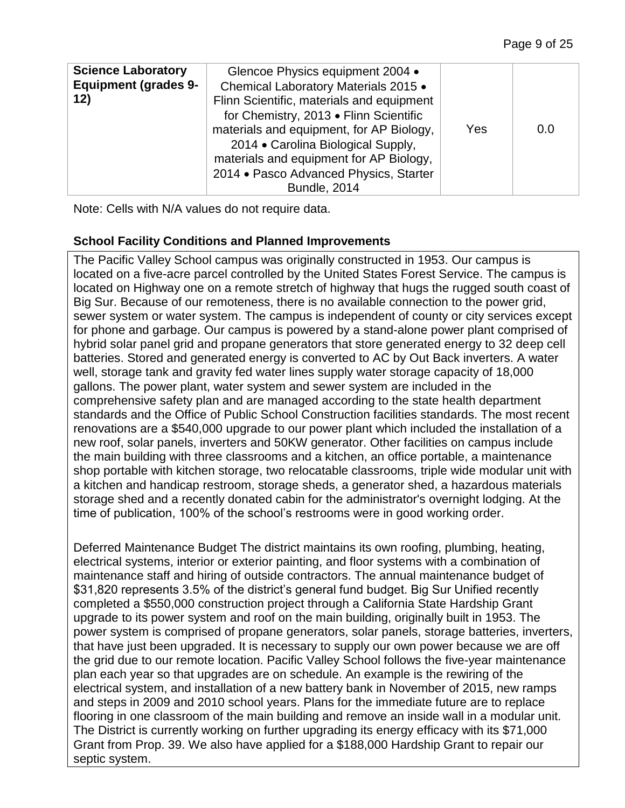| <b>Science Laboratory</b><br><b>Equipment (grades 9-</b><br>12) | Glencoe Physics equipment 2004 •<br>Chemical Laboratory Materials 2015 .<br>Flinn Scientific, materials and equipment<br>for Chemistry, 2013 . Flinn Scientific<br>materials and equipment, for AP Biology,<br>2014 • Carolina Biological Supply,<br>materials and equipment for AP Biology,<br>2014 • Pasco Advanced Physics, Starter<br><b>Bundle, 2014</b> | Yes | 0.0 |
|-----------------------------------------------------------------|---------------------------------------------------------------------------------------------------------------------------------------------------------------------------------------------------------------------------------------------------------------------------------------------------------------------------------------------------------------|-----|-----|
|-----------------------------------------------------------------|---------------------------------------------------------------------------------------------------------------------------------------------------------------------------------------------------------------------------------------------------------------------------------------------------------------------------------------------------------------|-----|-----|

Note: Cells with N/A values do not require data.

# **School Facility Conditions and Planned Improvements**

The Pacific Valley School campus was originally constructed in 1953. Our campus is located on a five-acre parcel controlled by the United States Forest Service. The campus is located on Highway one on a remote stretch of highway that hugs the rugged south coast of Big Sur. Because of our remoteness, there is no available connection to the power grid, sewer system or water system. The campus is independent of county or city services except for phone and garbage. Our campus is powered by a stand-alone power plant comprised of hybrid solar panel grid and propane generators that store generated energy to 32 deep cell batteries. Stored and generated energy is converted to AC by Out Back inverters. A water well, storage tank and gravity fed water lines supply water storage capacity of 18,000 gallons. The power plant, water system and sewer system are included in the comprehensive safety plan and are managed according to the state health department standards and the Office of Public School Construction facilities standards. The most recent renovations are a \$540,000 upgrade to our power plant which included the installation of a new roof, solar panels, inverters and 50KW generator. Other facilities on campus include the main building with three classrooms and a kitchen, an office portable, a maintenance shop portable with kitchen storage, two relocatable classrooms, triple wide modular unit with a kitchen and handicap restroom, storage sheds, a generator shed, a hazardous materials storage shed and a recently donated cabin for the administrator's overnight lodging. At the time of publication, 100% of the school's restrooms were in good working order.

Deferred Maintenance Budget The district maintains its own roofing, plumbing, heating, electrical systems, interior or exterior painting, and floor systems with a combination of maintenance staff and hiring of outside contractors. The annual maintenance budget of \$31,820 represents 3.5% of the district's general fund budget. Big Sur Unified recently completed a \$550,000 construction project through a California State Hardship Grant upgrade to its power system and roof on the main building, originally built in 1953. The power system is comprised of propane generators, solar panels, storage batteries, inverters, that have just been upgraded. It is necessary to supply our own power because we are off the grid due to our remote location. Pacific Valley School follows the five-year maintenance plan each year so that upgrades are on schedule. An example is the rewiring of the electrical system, and installation of a new battery bank in November of 2015, new ramps and steps in 2009 and 2010 school years. Plans for the immediate future are to replace flooring in one classroom of the main building and remove an inside wall in a modular unit. The District is currently working on further upgrading its energy efficacy with its \$71,000 Grant from Prop. 39. We also have applied for a \$188,000 Hardship Grant to repair our septic system.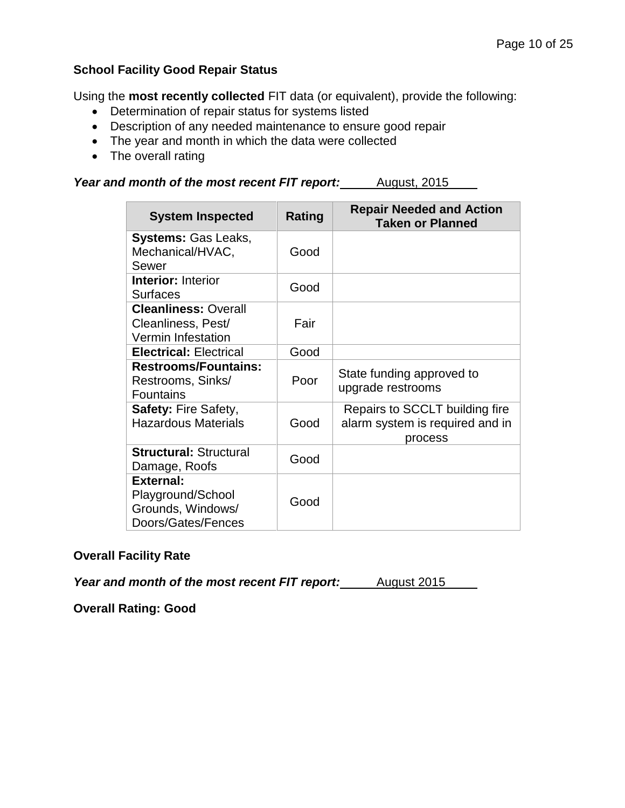### **School Facility Good Repair Status**

Using the **most recently collected** FIT data (or equivalent), provide the following:

- Determination of repair status for systems listed
- Description of any needed maintenance to ensure good repair
- The year and month in which the data were collected
- The overall rating

*Year and month of the most recent FIT report:* August, 2015

| <b>System Inspected</b>                                                          | Rating | <b>Repair Needed and Action</b><br><b>Taken or Planned</b>                   |
|----------------------------------------------------------------------------------|--------|------------------------------------------------------------------------------|
| <b>Systems: Gas Leaks,</b><br>Mechanical/HVAC,<br>Sewer                          | Good   |                                                                              |
| <b>Interior: Interior</b><br><b>Surfaces</b>                                     | Good   |                                                                              |
| <b>Cleanliness: Overall</b><br>Cleanliness, Pest/<br><b>Vermin Infestation</b>   | Fair   |                                                                              |
| <b>Electrical: Electrical</b>                                                    | Good   |                                                                              |
| <b>Restrooms/Fountains:</b><br>Restrooms, Sinks/<br><b>Fountains</b>             | Poor   | State funding approved to<br>upgrade restrooms                               |
| <b>Safety: Fire Safety,</b><br><b>Hazardous Materials</b>                        | Good   | Repairs to SCCLT building fire<br>alarm system is required and in<br>process |
| <b>Structural: Structural</b><br>Damage, Roofs                                   | Good   |                                                                              |
| <b>External:</b><br>Playground/School<br>Grounds, Windows/<br>Doors/Gates/Fences | Good   |                                                                              |

#### **Overall Facility Rate**

*Year and month of the most recent FIT report:* August 2015

**Overall Rating: Good**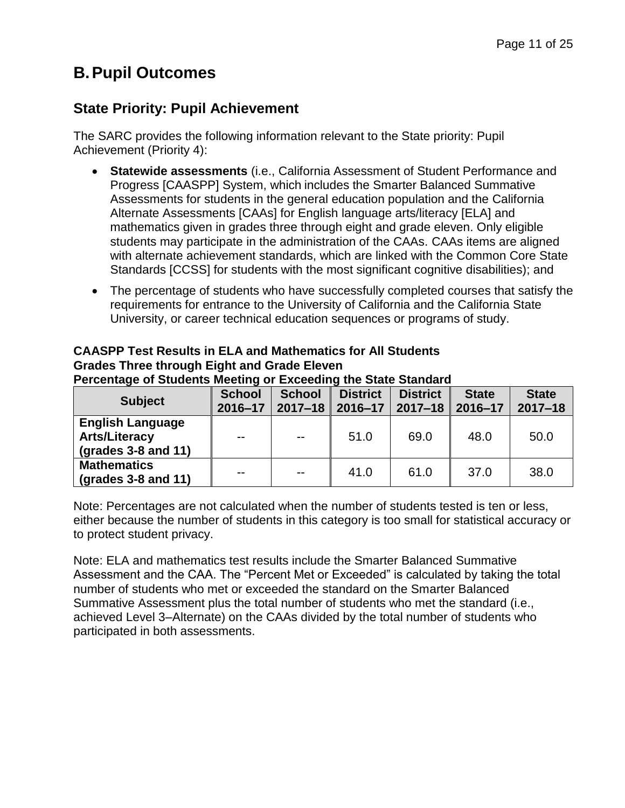# **B.Pupil Outcomes**

# **State Priority: Pupil Achievement**

The SARC provides the following information relevant to the State priority: Pupil Achievement (Priority 4):

- **Statewide assessments** (i.e., California Assessment of Student Performance and Progress [CAASPP] System, which includes the Smarter Balanced Summative Assessments for students in the general education population and the California Alternate Assessments [CAAs] for English language arts/literacy [ELA] and mathematics given in grades three through eight and grade eleven. Only eligible students may participate in the administration of the CAAs. CAAs items are aligned with alternate achievement standards, which are linked with the Common Core State Standards [CCSS] for students with the most significant cognitive disabilities); and
- The percentage of students who have successfully completed courses that satisfy the requirements for entrance to the University of California and the California State University, or career technical education sequences or programs of study.

| <b>CAASPP Test Results in ELA and Mathematics for All Students</b> |
|--------------------------------------------------------------------|
| <b>Grades Three through Eight and Grade Eleven</b>                 |
| Percentage of Students Meeting or Exceeding the State Standard     |

| <b>Subject</b>                                                                 | <b>School</b><br>$2016 - 17$ | <b>School</b><br>$2017 - 18$ | <b>District</b><br>$2016 - 17$ | <b>District</b><br>$2017 - 18$ | <b>State</b><br>2016-17 | <b>State</b><br>$2017 - 18$ |
|--------------------------------------------------------------------------------|------------------------------|------------------------------|--------------------------------|--------------------------------|-------------------------|-----------------------------|
| <b>English Language</b><br><b>Arts/Literacy</b><br>$\left($ grades 3-8 and 11) | $-$                          | $- -$                        | 51.0                           | 69.0                           | 48.0                    | 50.0                        |
| <b>Mathematics</b><br>$\left($ grades 3-8 and 11)                              | $-$                          | $- -$                        | 41.0                           | 61.0                           | 37.0                    | 38.0                        |

Note: Percentages are not calculated when the number of students tested is ten or less, either because the number of students in this category is too small for statistical accuracy or to protect student privacy.

Note: ELA and mathematics test results include the Smarter Balanced Summative Assessment and the CAA. The "Percent Met or Exceeded" is calculated by taking the total number of students who met or exceeded the standard on the Smarter Balanced Summative Assessment plus the total number of students who met the standard (i.e., achieved Level 3–Alternate) on the CAAs divided by the total number of students who participated in both assessments.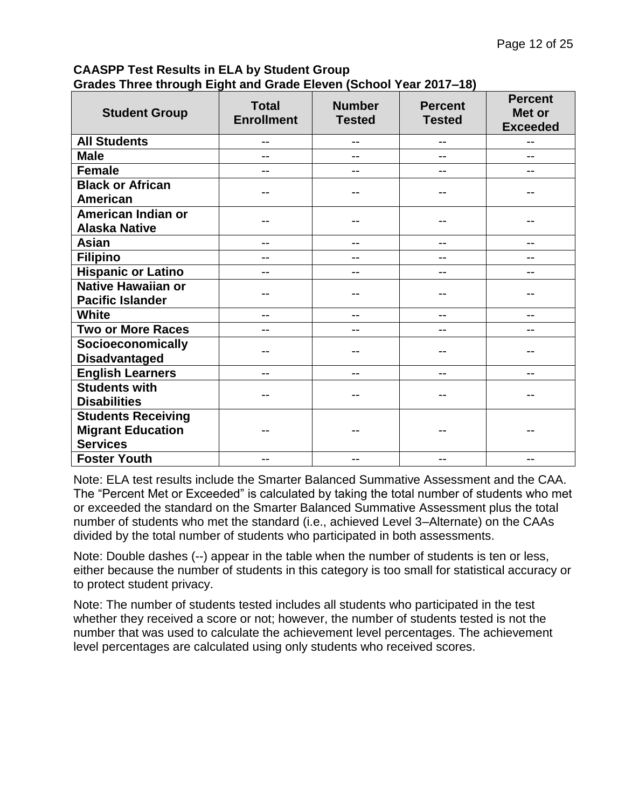### **CAASPP Test Results in ELA by Student Group Grades Three through Eight and Grade Eleven (School Year 2017–18)**

| <b>Student Group</b>                                                     | <b>Total</b><br><b>Enrollment</b> | <b>Number</b><br><b>Tested</b> | <b>Percent</b><br><b>Tested</b> | <b>Percent</b><br>Met or<br><b>Exceeded</b> |
|--------------------------------------------------------------------------|-----------------------------------|--------------------------------|---------------------------------|---------------------------------------------|
| <b>All Students</b>                                                      | --                                | --                             | --                              | --                                          |
| <b>Male</b>                                                              | --                                | --                             |                                 |                                             |
| <b>Female</b>                                                            |                                   |                                |                                 |                                             |
| <b>Black or African</b><br><b>American</b>                               | --                                |                                |                                 |                                             |
| American Indian or<br><b>Alaska Native</b>                               |                                   |                                |                                 |                                             |
| <b>Asian</b>                                                             | --                                | --                             | --                              | --                                          |
| <b>Filipino</b>                                                          | --                                | --                             |                                 |                                             |
| <b>Hispanic or Latino</b>                                                |                                   |                                |                                 |                                             |
| <b>Native Hawaiian or</b><br><b>Pacific Islander</b>                     | --                                |                                |                                 |                                             |
| <b>White</b>                                                             | --                                | --                             | --                              | --                                          |
| <b>Two or More Races</b>                                                 | --                                |                                |                                 |                                             |
| Socioeconomically<br><b>Disadvantaged</b>                                |                                   |                                |                                 |                                             |
| <b>English Learners</b>                                                  | --                                | --                             | --                              |                                             |
| <b>Students with</b><br><b>Disabilities</b>                              |                                   |                                |                                 |                                             |
| <b>Students Receiving</b><br><b>Migrant Education</b><br><b>Services</b> |                                   |                                |                                 |                                             |
| <b>Foster Youth</b>                                                      | --                                |                                |                                 |                                             |

Note: ELA test results include the Smarter Balanced Summative Assessment and the CAA. The "Percent Met or Exceeded" is calculated by taking the total number of students who met or exceeded the standard on the Smarter Balanced Summative Assessment plus the total number of students who met the standard (i.e., achieved Level 3–Alternate) on the CAAs divided by the total number of students who participated in both assessments.

Note: Double dashes (--) appear in the table when the number of students is ten or less, either because the number of students in this category is too small for statistical accuracy or to protect student privacy.

Note: The number of students tested includes all students who participated in the test whether they received a score or not; however, the number of students tested is not the number that was used to calculate the achievement level percentages. The achievement level percentages are calculated using only students who received scores.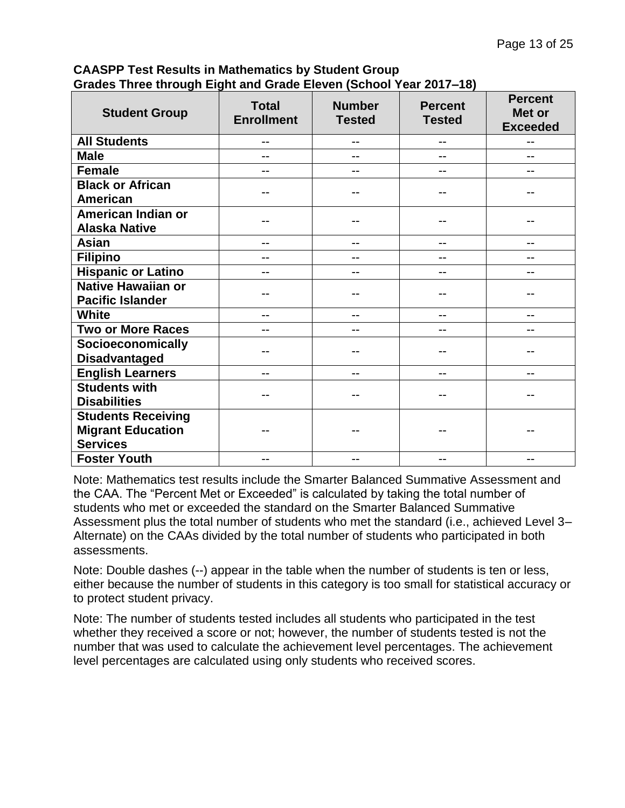**CAASPP Test Results in Mathematics by Student Group Grades Three through Eight and Grade Eleven (School Year 2017–18)**

| <b>Student Group</b>                                                     | <b>Total</b><br><b>Enrollment</b> | <b>Number</b><br><b>Tested</b> | <b>Percent</b><br><b>Tested</b> | <b>Percent</b><br>Met or<br><b>Exceeded</b> |
|--------------------------------------------------------------------------|-----------------------------------|--------------------------------|---------------------------------|---------------------------------------------|
| <b>All Students</b>                                                      | --                                | --                             | --                              | --                                          |
| <b>Male</b>                                                              |                                   | --                             |                                 |                                             |
| <b>Female</b>                                                            |                                   | --                             |                                 |                                             |
| <b>Black or African</b><br><b>American</b>                               | --                                | --                             |                                 |                                             |
| American Indian or<br><b>Alaska Native</b>                               |                                   |                                |                                 |                                             |
| <b>Asian</b>                                                             | --                                | --                             | --                              | --                                          |
| <b>Filipino</b>                                                          | --                                | --                             |                                 | --                                          |
| <b>Hispanic or Latino</b>                                                | --                                | --                             | --                              | --                                          |
| <b>Native Hawaiian or</b><br><b>Pacific Islander</b>                     | --                                | --                             |                                 |                                             |
| <b>White</b>                                                             | --                                | --                             |                                 |                                             |
| <b>Two or More Races</b>                                                 |                                   | --                             |                                 |                                             |
| Socioeconomically<br><b>Disadvantaged</b>                                |                                   |                                |                                 |                                             |
| <b>English Learners</b>                                                  | --                                | --                             | --                              | --                                          |
| <b>Students with</b><br><b>Disabilities</b>                              |                                   |                                |                                 |                                             |
| <b>Students Receiving</b><br><b>Migrant Education</b><br><b>Services</b> |                                   |                                |                                 |                                             |
| <b>Foster Youth</b>                                                      |                                   |                                |                                 |                                             |

Note: Mathematics test results include the Smarter Balanced Summative Assessment and the CAA. The "Percent Met or Exceeded" is calculated by taking the total number of students who met or exceeded the standard on the Smarter Balanced Summative Assessment plus the total number of students who met the standard (i.e., achieved Level 3– Alternate) on the CAAs divided by the total number of students who participated in both assessments.

Note: Double dashes (--) appear in the table when the number of students is ten or less, either because the number of students in this category is too small for statistical accuracy or to protect student privacy.

Note: The number of students tested includes all students who participated in the test whether they received a score or not; however, the number of students tested is not the number that was used to calculate the achievement level percentages. The achievement level percentages are calculated using only students who received scores.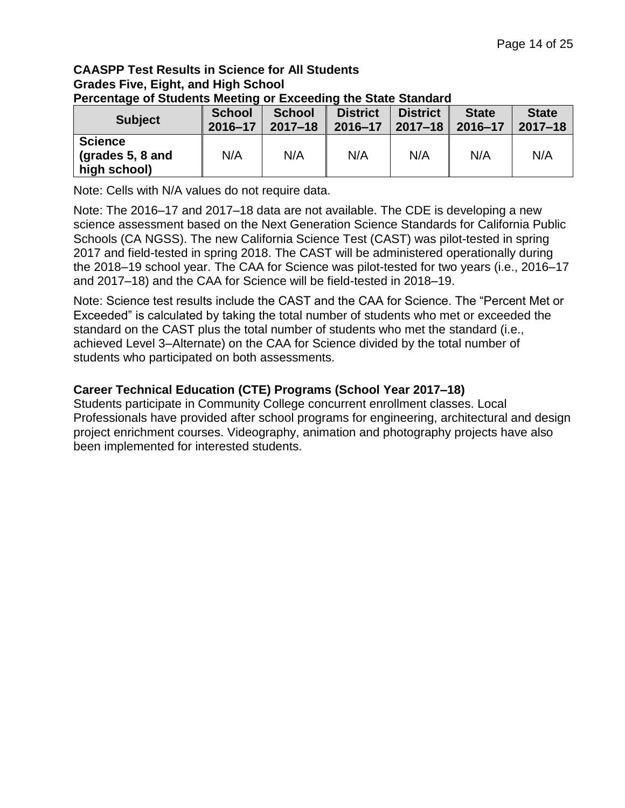#### **CAASPP Test Results in Science for All Students Grades Five, Eight, and High School Percentage of Students Meeting or Exceeding the State Standard**

| <b>Subject</b>                                       | <b>School</b> | <b>School</b> | <b>District</b> | <b>District</b> | <b>State</b> | <b>State</b> |
|------------------------------------------------------|---------------|---------------|-----------------|-----------------|--------------|--------------|
|                                                      | 2016-17       | $2017 - 18$   | 2016-17         | $2017 - 18$     | 2016-17      | $2017 - 18$  |
| <b>Science</b><br>(grades $5, 8$ and<br>high school) | N/A           | N/A           | N/A             | N/A             | N/A          | N/A          |

Note: Cells with N/A values do not require data.

Note: The 2016–17 and 2017–18 data are not available. The CDE is developing a new science assessment based on the Next Generation Science Standards for California Public Schools (CA NGSS). The new California Science Test (CAST) was pilot-tested in spring 2017 and field-tested in spring 2018. The CAST will be administered operationally during the 2018–19 school year. The CAA for Science was pilot-tested for two years (i.e., 2016–17 and 2017–18) and the CAA for Science will be field-tested in 2018–19.

Note: Science test results include the CAST and the CAA for Science. The "Percent Met or Exceeded" is calculated by taking the total number of students who met or exceeded the standard on the CAST plus the total number of students who met the standard (i.e., achieved Level 3–Alternate) on the CAA for Science divided by the total number of students who participated on both assessments.

# **Career Technical Education (CTE) Programs (School Year 2017–18)**

Students participate in Community College concurrent enrollment classes. Local Professionals have provided after school programs for engineering, architectural and design project enrichment courses. Videography, animation and photography projects have also been implemented for interested students.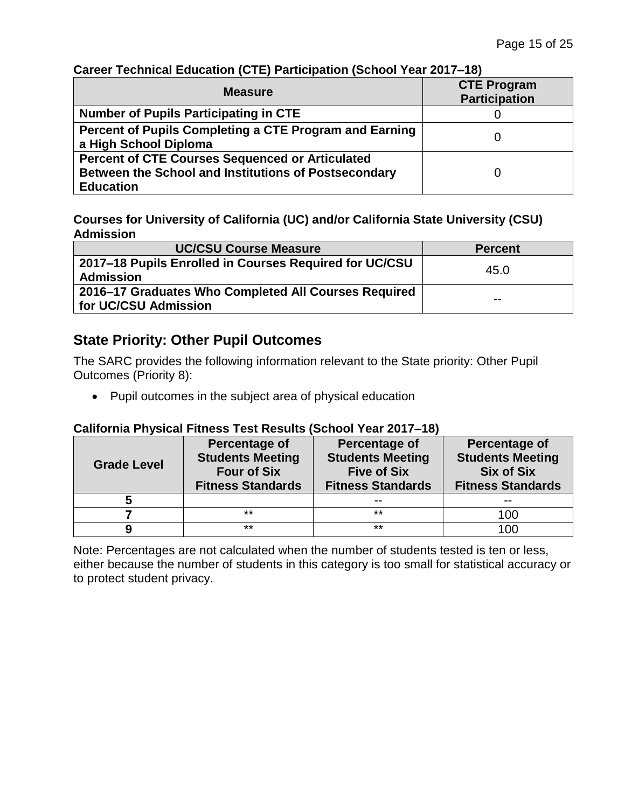| <b>Measure</b>                                                                                                                            | <b>CTE Program</b><br><b>Participation</b> |
|-------------------------------------------------------------------------------------------------------------------------------------------|--------------------------------------------|
| <b>Number of Pupils Participating in CTE</b>                                                                                              |                                            |
| Percent of Pupils Completing a CTE Program and Earning<br>a High School Diploma                                                           |                                            |
| <b>Percent of CTE Courses Sequenced or Articulated</b><br><b>Between the School and Institutions of Postsecondary</b><br><b>Education</b> |                                            |

# **Career Technical Education (CTE) Participation (School Year 2017–18)**

**Courses for University of California (UC) and/or California State University (CSU) Admission**

| <b>UC/CSU Course Measure</b>                                                 | <b>Percent</b> |
|------------------------------------------------------------------------------|----------------|
| 2017–18 Pupils Enrolled in Courses Required for UC/CSU<br><b>Admission</b>   | 45.0           |
| 2016–17 Graduates Who Completed All Courses Required<br>for UC/CSU Admission | $- -$          |

# **State Priority: Other Pupil Outcomes**

The SARC provides the following information relevant to the State priority: Other Pupil Outcomes (Priority 8):

Pupil outcomes in the subject area of physical education

### **California Physical Fitness Test Results (School Year 2017–18)**

| <b>Grade Level</b> | <b>Percentage of</b><br><b>Students Meeting</b><br><b>Four of Six</b><br><b>Fitness Standards</b> | <b>Percentage of</b><br><b>Students Meeting</b><br><b>Five of Six</b><br><b>Fitness Standards</b> | Percentage of<br><b>Students Meeting</b><br><b>Six of Six</b><br><b>Fitness Standards</b> |
|--------------------|---------------------------------------------------------------------------------------------------|---------------------------------------------------------------------------------------------------|-------------------------------------------------------------------------------------------|
| 5                  |                                                                                                   | $- -$                                                                                             |                                                                                           |
|                    | $***$                                                                                             | $***$                                                                                             | 100                                                                                       |
|                    | $***$                                                                                             | $***$                                                                                             | 10C                                                                                       |

Note: Percentages are not calculated when the number of students tested is ten or less, either because the number of students in this category is too small for statistical accuracy or to protect student privacy.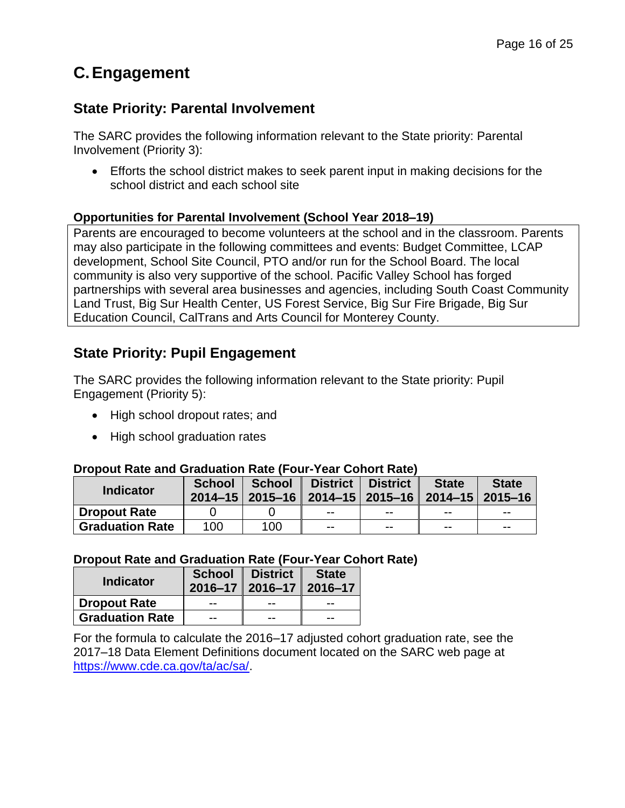# **C.Engagement**

# **State Priority: Parental Involvement**

The SARC provides the following information relevant to the State priority: Parental Involvement (Priority 3):

 Efforts the school district makes to seek parent input in making decisions for the school district and each school site

### **Opportunities for Parental Involvement (School Year 2018–19)**

Parents are encouraged to become volunteers at the school and in the classroom. Parents may also participate in the following committees and events: Budget Committee, LCAP development, School Site Council, PTO and/or run for the School Board. The local community is also very supportive of the school. Pacific Valley School has forged partnerships with several area businesses and agencies, including South Coast Community Land Trust, Big Sur Health Center, US Forest Service, Big Sur Fire Brigade, Big Sur Education Council, CalTrans and Arts Council for Monterey County.

# **State Priority: Pupil Engagement**

The SARC provides the following information relevant to the State priority: Pupil Engagement (Priority 5):

- High school dropout rates; and
- High school graduation rates

### **Dropout Rate and Graduation Rate (Four-Year Cohort Rate)**

| <b>Indicator</b>       | <b>School</b> | <b>School</b> | District<br>2014-15   2015-16   2014-15   2015-16   2014-15   2015-16 | <b>District</b> | <b>State</b> | <b>State</b> |
|------------------------|---------------|---------------|-----------------------------------------------------------------------|-----------------|--------------|--------------|
| <b>Dropout Rate</b>    |               |               | $- -$                                                                 | $- -$           | $- -$        | $- -$        |
| <b>Graduation Rate</b> | 100           | 100           | $- -$                                                                 | $- -$           | $- -$        | $- -$        |

#### **Dropout Rate and Graduation Rate (Four-Year Cohort Rate)**

| <b>Indicator</b>       | $\vert$ 2016-17 $\vert$ 2016-17 $\vert$ 2016-17 | School   District | <b>State</b> |
|------------------------|-------------------------------------------------|-------------------|--------------|
| <b>Dropout Rate</b>    | --                                              |                   | --           |
| <b>Graduation Rate</b> | --                                              |                   | $- -$        |

For the formula to calculate the 2016–17 adjusted cohort graduation rate, see the 2017–18 Data Element Definitions document located on the SARC web page at [https://www.cde.ca.gov/ta/ac/sa/.](https://www.cde.ca.gov/ta/ac/sa/)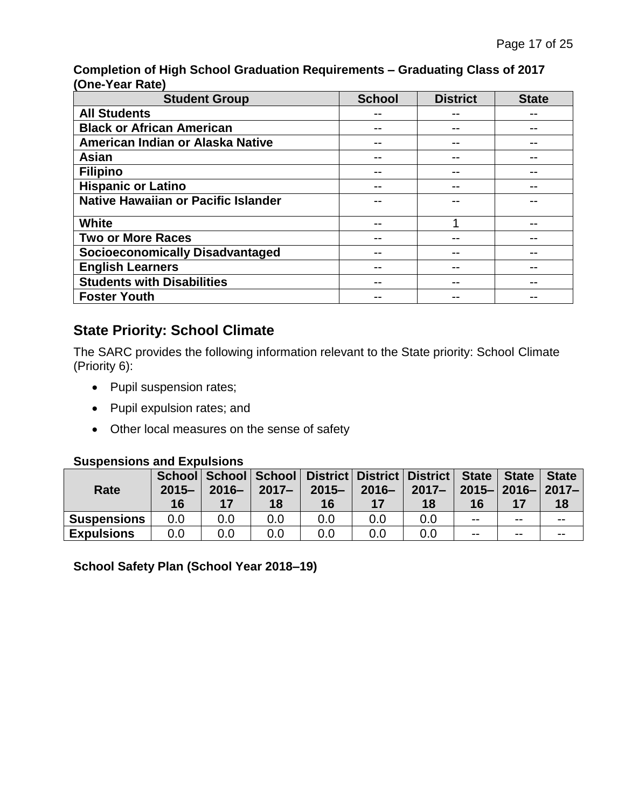**Completion of High School Graduation Requirements – Graduating Class of 2017 (One-Year Rate)**

| <b>Student Group</b>                       | <b>School</b> | <b>District</b> | <b>State</b> |
|--------------------------------------------|---------------|-----------------|--------------|
| <b>All Students</b>                        |               |                 |              |
| <b>Black or African American</b>           |               |                 |              |
| American Indian or Alaska Native           | --            |                 |              |
| <b>Asian</b>                               |               |                 |              |
| <b>Filipino</b>                            |               |                 |              |
| <b>Hispanic or Latino</b>                  |               |                 |              |
| <b>Native Hawaiian or Pacific Islander</b> |               |                 |              |
| <b>White</b>                               |               |                 |              |
| <b>Two or More Races</b>                   | --            |                 |              |
| <b>Socioeconomically Disadvantaged</b>     |               |                 |              |
| <b>English Learners</b>                    |               |                 |              |
| <b>Students with Disabilities</b>          |               |                 |              |
| <b>Foster Youth</b>                        |               |                 |              |

# **State Priority: School Climate**

The SARC provides the following information relevant to the State priority: School Climate (Priority 6):

- Pupil suspension rates;
- Pupil expulsion rates; and
- Other local measures on the sense of safety

#### **Suspensions and Expulsions**

| Rate               | $2015 -$<br>16 | $2016 -$ | $2017 -$<br>18 | School School School District District District State State   State  <br>$2015 -$<br>16 | $2016 -$ | $2017 -$<br>18 | 2015-12016-12017-1<br>16 |       | <b>State</b><br>18 |
|--------------------|----------------|----------|----------------|-----------------------------------------------------------------------------------------|----------|----------------|--------------------------|-------|--------------------|
| <b>Suspensions</b> | 0.0            | 0.0      | 0.0            | 0.0                                                                                     | 0.0      | 0.0            | $- -$                    | $- -$ | $- -$              |
| <b>Expulsions</b>  | 0.0            | 0.0      | 0.0            | 0.0                                                                                     | 0.0      | 0.0            | $- -$                    | $- -$ | $- -$              |

**School Safety Plan (School Year 2018–19)**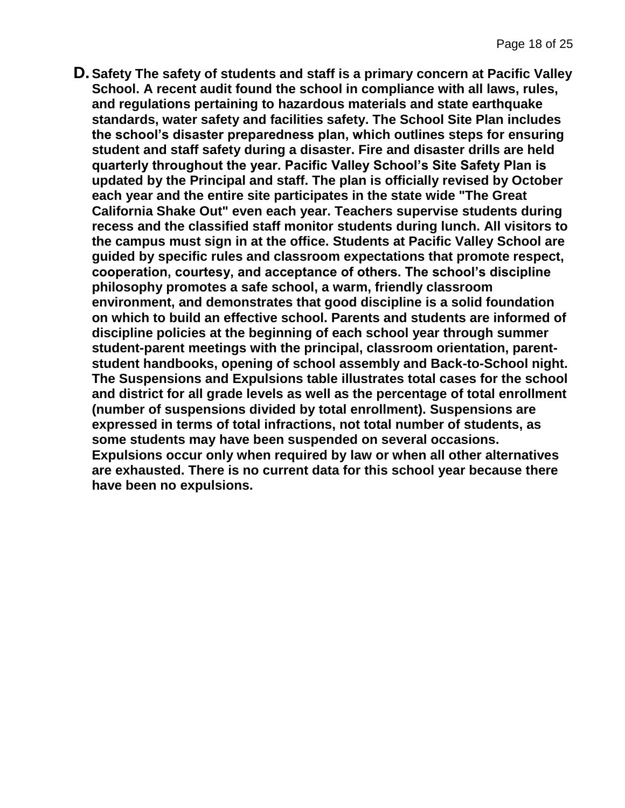**D.Safety The safety of students and staff is a primary concern at Pacific Valley School. A recent audit found the school in compliance with all laws, rules, and regulations pertaining to hazardous materials and state earthquake standards, water safety and facilities safety. The School Site Plan includes the school's disaster preparedness plan, which outlines steps for ensuring student and staff safety during a disaster. Fire and disaster drills are held quarterly throughout the year. Pacific Valley School's Site Safety Plan is updated by the Principal and staff. The plan is officially revised by October each year and the entire site participates in the state wide "The Great California Shake Out" even each year. Teachers supervise students during recess and the classified staff monitor students during lunch. All visitors to the campus must sign in at the office. Students at Pacific Valley School are guided by specific rules and classroom expectations that promote respect, cooperation, courtesy, and acceptance of others. The school's discipline philosophy promotes a safe school, a warm, friendly classroom environment, and demonstrates that good discipline is a solid foundation on which to build an effective school. Parents and students are informed of discipline policies at the beginning of each school year through summer student-parent meetings with the principal, classroom orientation, parentstudent handbooks, opening of school assembly and Back-to-School night. The Suspensions and Expulsions table illustrates total cases for the school and district for all grade levels as well as the percentage of total enrollment (number of suspensions divided by total enrollment). Suspensions are expressed in terms of total infractions, not total number of students, as some students may have been suspended on several occasions. Expulsions occur only when required by law or when all other alternatives are exhausted. There is no current data for this school year because there have been no expulsions.**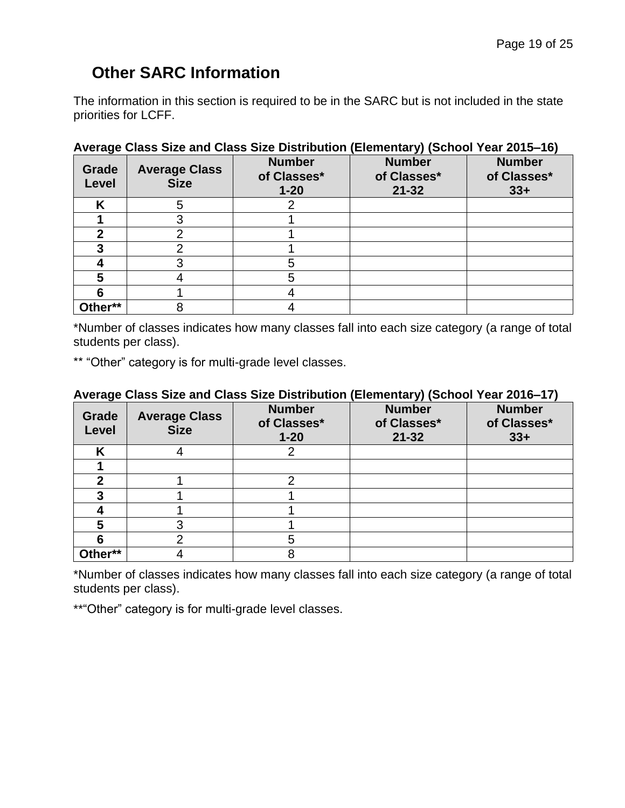# **Other SARC Information**

The information in this section is required to be in the SARC but is not included in the state priorities for LCFF.

| ◡<br>Grade<br>Level | <b>Average Class</b><br><b>Size</b> | <b>Number</b><br>of Classes*<br>$1 - 20$ | $\lambda$<br><b>Number</b><br>of Classes*<br>$21 - 32$ | <b>Number</b><br>of Classes*<br>$33+$ |
|---------------------|-------------------------------------|------------------------------------------|--------------------------------------------------------|---------------------------------------|
|                     | 5                                   |                                          |                                                        |                                       |
|                     |                                     |                                          |                                                        |                                       |
|                     |                                     |                                          |                                                        |                                       |
|                     |                                     |                                          |                                                        |                                       |
|                     |                                     | 5                                        |                                                        |                                       |
|                     |                                     | 5                                        |                                                        |                                       |
|                     |                                     |                                          |                                                        |                                       |
| Other**             |                                     |                                          |                                                        |                                       |

#### **Average Class Size and Class Size Distribution (Elementary) (School Year 2015–16)**

\*Number of classes indicates how many classes fall into each size category (a range of total students per class).

\*\* "Other" category is for multi-grade level classes.

#### **Average Class Size and Class Size Distribution (Elementary) (School Year 2016–17)**

| Grade<br>Level | <b>Average Class</b><br><b>Size</b> | <b>Number</b><br>of Classes*<br>$1 - 20$ | <b>Number</b><br>of Classes*<br>$21 - 32$ | <b>Number</b><br>of Classes*<br>$33+$ |
|----------------|-------------------------------------|------------------------------------------|-------------------------------------------|---------------------------------------|
| κ              |                                     | 2                                        |                                           |                                       |
|                |                                     |                                          |                                           |                                       |
| 2              |                                     | ◠                                        |                                           |                                       |
| 3              |                                     |                                          |                                           |                                       |
|                |                                     |                                          |                                           |                                       |
| 5              |                                     |                                          |                                           |                                       |
|                |                                     | 5                                        |                                           |                                       |
| Other**        |                                     | 8                                        |                                           |                                       |

\*Number of classes indicates how many classes fall into each size category (a range of total students per class).

\*\* "Other" category is for multi-grade level classes.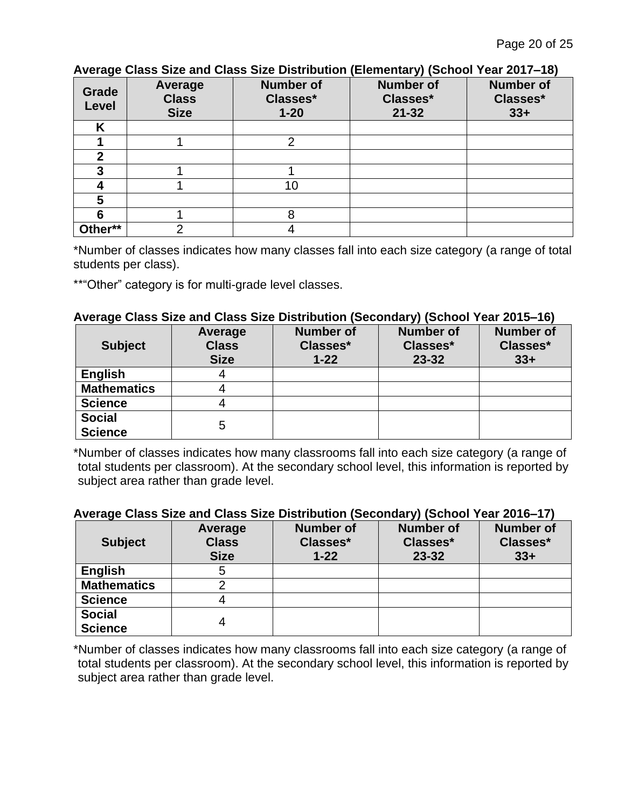| Avulagu Oldoo Oleu dhu Oldoo Oleu Diothivation (Liumunidi y) (Ounoor Tudi Zurr $=$ 10) |                                        |                                          |                                           |                                       |
|----------------------------------------------------------------------------------------|----------------------------------------|------------------------------------------|-------------------------------------------|---------------------------------------|
| Grade<br>Level                                                                         | Average<br><b>Class</b><br><b>Size</b> | <b>Number of</b><br>Classes*<br>$1 - 20$ | <b>Number of</b><br>Classes*<br>$21 - 32$ | <b>Number of</b><br>Classes*<br>$33+$ |
| Κ                                                                                      |                                        |                                          |                                           |                                       |
|                                                                                        |                                        | റ                                        |                                           |                                       |
| 2                                                                                      |                                        |                                          |                                           |                                       |
| 3                                                                                      |                                        |                                          |                                           |                                       |
|                                                                                        |                                        | 10                                       |                                           |                                       |
| 5                                                                                      |                                        |                                          |                                           |                                       |
|                                                                                        |                                        | 8                                        |                                           |                                       |
| Other**                                                                                | ⌒                                      |                                          |                                           |                                       |

# **Average Class Size and Class Size Distribution (Elementary) (School Year 2017–18)**

\*Number of classes indicates how many classes fall into each size category (a range of total students per class).

\*\* "Other" category is for multi-grade level classes.

#### **Average Class Size and Class Size Distribution (Secondary) (School Year 2015–16)**

| <b>Subject</b>                  | Average<br><b>Class</b><br><b>Size</b> | <b>Number of</b><br>Classes*<br>$1 - 22$ | <b>Number of</b><br>Classes*<br>23-32 | <b>Number of</b><br>Classes*<br>$33+$ |
|---------------------------------|----------------------------------------|------------------------------------------|---------------------------------------|---------------------------------------|
| <b>English</b>                  | 4                                      |                                          |                                       |                                       |
| <b>Mathematics</b>              |                                        |                                          |                                       |                                       |
| <b>Science</b>                  |                                        |                                          |                                       |                                       |
| <b>Social</b><br><b>Science</b> | 5                                      |                                          |                                       |                                       |

\*Number of classes indicates how many classrooms fall into each size category (a range of total students per classroom). At the secondary school level, this information is reported by subject area rather than grade level.

#### **Average Class Size and Class Size Distribution (Secondary) (School Year 2016–17)**

| <b>Subject</b>                  | Average<br><b>Class</b><br><b>Size</b> | <b>Number of</b><br>Classes*<br>$1 - 22$ | <b>Number of</b><br>Classes*<br>23-32 | <b>Number of</b><br>Classes*<br>$33+$ |
|---------------------------------|----------------------------------------|------------------------------------------|---------------------------------------|---------------------------------------|
| <b>English</b>                  | b                                      |                                          |                                       |                                       |
| <b>Mathematics</b>              |                                        |                                          |                                       |                                       |
| <b>Science</b>                  |                                        |                                          |                                       |                                       |
| <b>Social</b><br><b>Science</b> |                                        |                                          |                                       |                                       |

\*Number of classes indicates how many classrooms fall into each size category (a range of total students per classroom). At the secondary school level, this information is reported by subject area rather than grade level.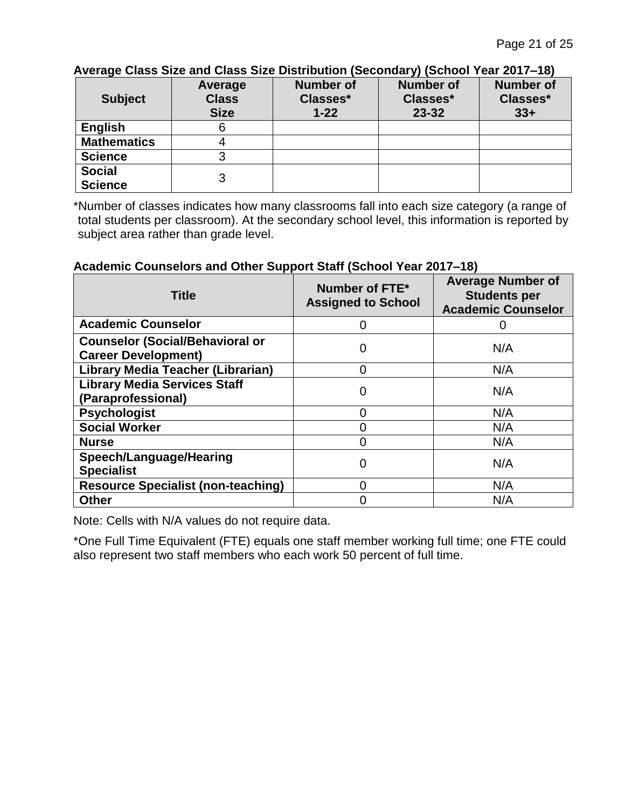| ATCHQU OROO OILU QHOO OILU DIONINGNON (OUVONGHI) (OUNIVOL TUGHLOTT TU) |              |                  |                  |                  |  |
|------------------------------------------------------------------------|--------------|------------------|------------------|------------------|--|
|                                                                        | Average      | <b>Number of</b> | <b>Number of</b> | <b>Number of</b> |  |
| <b>Subject</b>                                                         | <b>Class</b> | Classes*         | Classes*         | Classes*         |  |
|                                                                        | <b>Size</b>  | $1 - 22$         | $23 - 32$        | $33+$            |  |
| <b>English</b>                                                         |              |                  |                  |                  |  |
| <b>Mathematics</b>                                                     |              |                  |                  |                  |  |
| <b>Science</b>                                                         |              |                  |                  |                  |  |
| <b>Social</b>                                                          | 3            |                  |                  |                  |  |
| <b>Science</b>                                                         |              |                  |                  |                  |  |

**Average Class Size and Class Size Distribution (Secondary) (School Year 2017–18)**

\*Number of classes indicates how many classrooms fall into each size category (a range of total students per classroom). At the secondary school level, this information is reported by subject area rather than grade level.

#### **Academic Counselors and Other Support Staff (School Year 2017–18)**

| <b>Title</b>                                                         | Number of FTE*<br><b>Assigned to School</b> | <b>Average Number of</b><br><b>Students per</b><br><b>Academic Counselor</b> |
|----------------------------------------------------------------------|---------------------------------------------|------------------------------------------------------------------------------|
| <b>Academic Counselor</b>                                            |                                             | 0                                                                            |
| <b>Counselor (Social/Behavioral or</b><br><b>Career Development)</b> | 0                                           | N/A                                                                          |
| Library Media Teacher (Librarian)                                    | U                                           | N/A                                                                          |
| <b>Library Media Services Staff</b><br>(Paraprofessional)            |                                             | N/A                                                                          |
| <b>Psychologist</b>                                                  |                                             | N/A                                                                          |
| <b>Social Worker</b>                                                 |                                             | N/A                                                                          |
| <b>Nurse</b>                                                         |                                             | N/A                                                                          |
| Speech/Language/Hearing<br><b>Specialist</b>                         |                                             | N/A                                                                          |
| <b>Resource Specialist (non-teaching)</b>                            |                                             | N/A                                                                          |
| <b>Other</b>                                                         |                                             | N/A                                                                          |

Note: Cells with N/A values do not require data.

\*One Full Time Equivalent (FTE) equals one staff member working full time; one FTE could also represent two staff members who each work 50 percent of full time.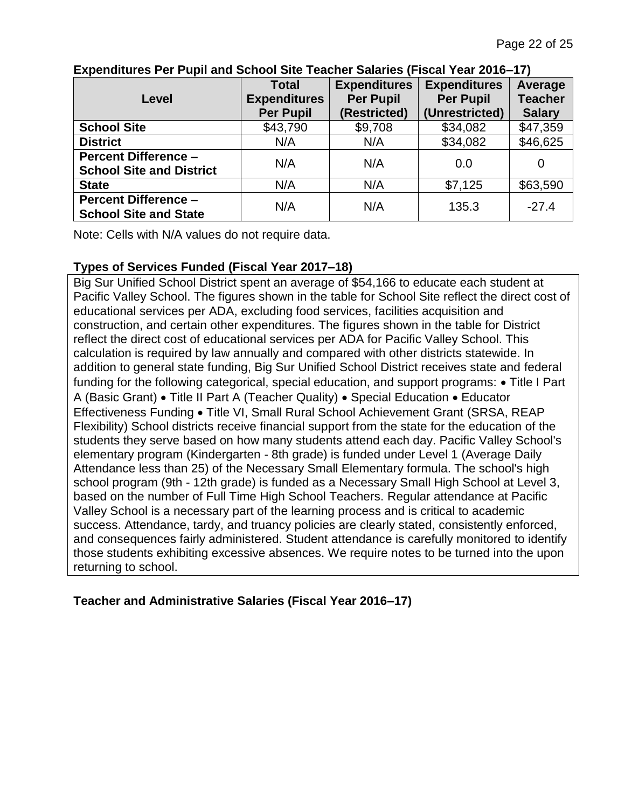|                                 | <b>Total</b>        | <b>Expenditures</b> | <b>Expenditures</b> | Average        |
|---------------------------------|---------------------|---------------------|---------------------|----------------|
| Level                           | <b>Expenditures</b> | <b>Per Pupil</b>    | <b>Per Pupil</b>    | <b>Teacher</b> |
|                                 | <b>Per Pupil</b>    | (Restricted)        | (Unrestricted)      | <b>Salary</b>  |
| <b>School Site</b>              | \$43,790            | \$9,708             | \$34,082            | \$47,359       |
| <b>District</b>                 | N/A                 | N/A                 | \$34,082            | \$46,625       |
| <b>Percent Difference -</b>     | N/A                 | N/A                 | 0.0                 |                |
| <b>School Site and District</b> |                     |                     |                     |                |
| <b>State</b>                    | N/A                 | N/A                 | \$7,125             | \$63,590       |
| <b>Percent Difference -</b>     | N/A                 | N/A                 | 135.3               | $-27.4$        |
| <b>School Site and State</b>    |                     |                     |                     |                |

**Expenditures Per Pupil and School Site Teacher Salaries (Fiscal Year 2016–17)**

Note: Cells with N/A values do not require data.

# **Types of Services Funded (Fiscal Year 2017–18)**

Big Sur Unified School District spent an average of \$54,166 to educate each student at Pacific Valley School. The figures shown in the table for School Site reflect the direct cost of educational services per ADA, excluding food services, facilities acquisition and construction, and certain other expenditures. The figures shown in the table for District reflect the direct cost of educational services per ADA for Pacific Valley School. This calculation is required by law annually and compared with other districts statewide. In addition to general state funding, Big Sur Unified School District receives state and federal funding for the following categorical, special education, and support programs:  $\bullet$  Title I Part A (Basic Grant) • Title II Part A (Teacher Quality) • Special Education • Educator Effectiveness Funding • Title VI, Small Rural School Achievement Grant (SRSA, REAP Flexibility) School districts receive financial support from the state for the education of the students they serve based on how many students attend each day. Pacific Valley School's elementary program (Kindergarten - 8th grade) is funded under Level 1 (Average Daily Attendance less than 25) of the Necessary Small Elementary formula. The school's high school program (9th - 12th grade) is funded as a Necessary Small High School at Level 3, based on the number of Full Time High School Teachers. Regular attendance at Pacific Valley School is a necessary part of the learning process and is critical to academic success. Attendance, tardy, and truancy policies are clearly stated, consistently enforced, and consequences fairly administered. Student attendance is carefully monitored to identify those students exhibiting excessive absences. We require notes to be turned into the upon returning to school.

**Teacher and Administrative Salaries (Fiscal Year 2016–17)**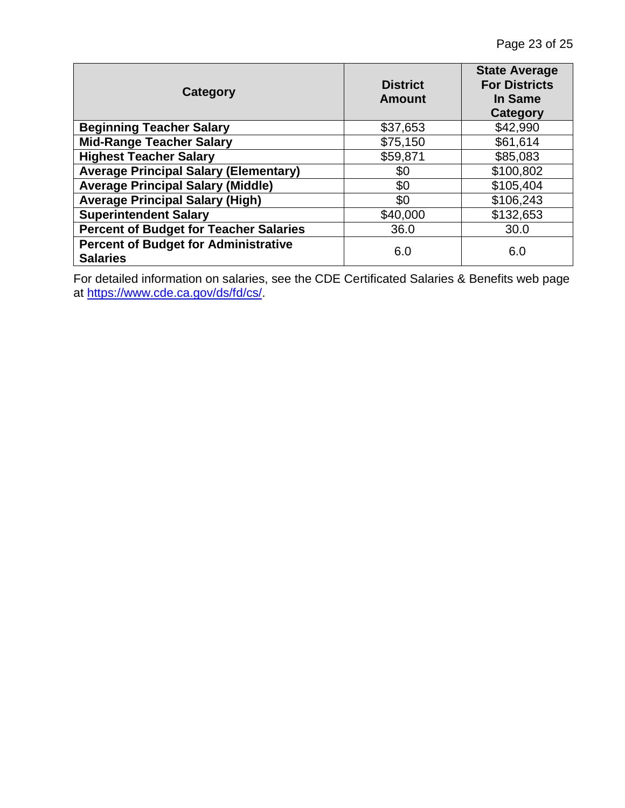| Category                                                       | <b>District</b><br><b>Amount</b> | <b>State Average</b><br><b>For Districts</b><br><b>In Same</b><br>Category |
|----------------------------------------------------------------|----------------------------------|----------------------------------------------------------------------------|
| <b>Beginning Teacher Salary</b>                                | \$37,653                         | \$42,990                                                                   |
| <b>Mid-Range Teacher Salary</b>                                | \$75,150                         | \$61,614                                                                   |
| <b>Highest Teacher Salary</b>                                  | \$59,871                         | \$85,083                                                                   |
| <b>Average Principal Salary (Elementary)</b>                   | \$0                              | \$100,802                                                                  |
| <b>Average Principal Salary (Middle)</b>                       | \$0                              | \$105,404                                                                  |
| <b>Average Principal Salary (High)</b>                         | \$0                              | \$106,243                                                                  |
| <b>Superintendent Salary</b>                                   | \$40,000                         | \$132,653                                                                  |
| <b>Percent of Budget for Teacher Salaries</b>                  | 36.0                             | 30.0                                                                       |
| <b>Percent of Budget for Administrative</b><br><b>Salaries</b> | 6.0                              | 6.0                                                                        |

For detailed information on salaries, see the CDE Certificated Salaries & Benefits web page at [https://www.cde.ca.gov/ds/fd/cs/.](http://www.cde.ca.gov/ds/fd/cs/)